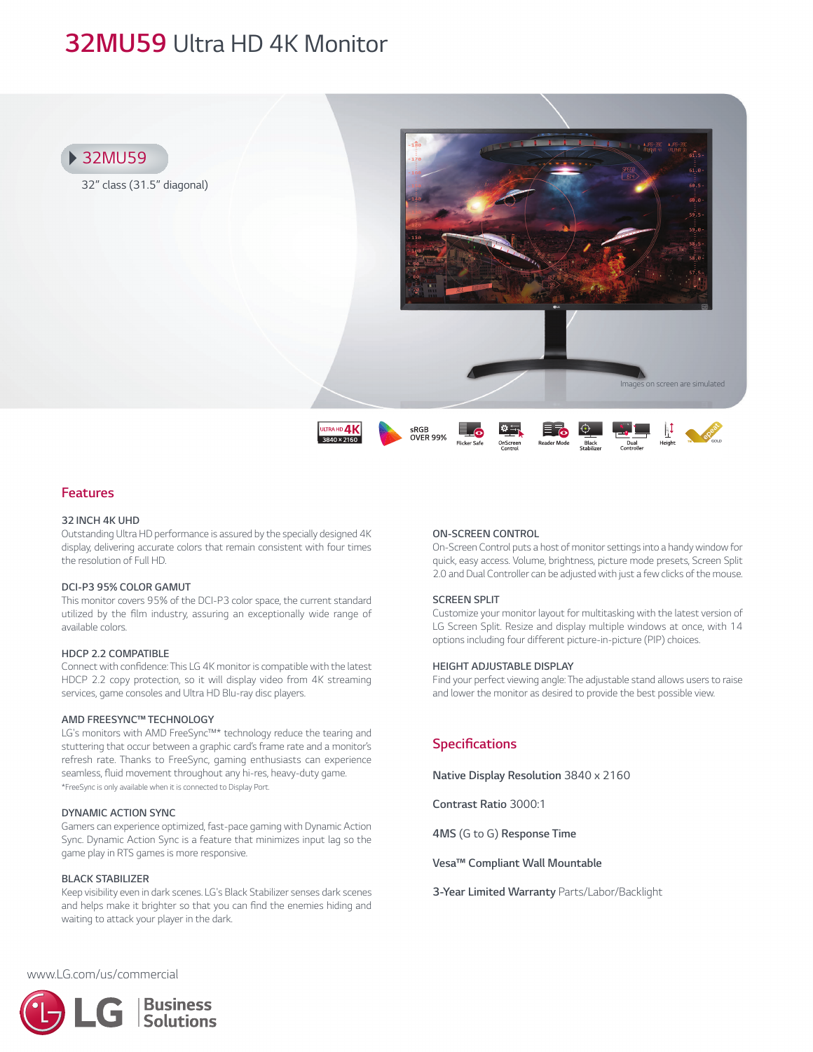# *32MU59 Ultra HD 4K Monitor*



### *Features*

#### *32 INCH 4K UHD*

*Outstanding Ultra HD performance is assured by the specially designed 4K display, delivering accurate colors that remain consistent with four times the resolution of Full HD.*

#### *DCI-P3 95% COLOR GAMUT*

*This monitor covers 95% of the DCI-P3 color space, the current standard utilized by the film industry, assuring an exceptionally wide range of available colors.*

#### *HDCP 2.2 COMPATIBLE*

*Connect with confidence: This LG 4K monitor is compatible with the latest HDCP 2.2 copy protection, so it will display video from 4K streaming services, game consoles and Ultra HD Blu-ray disc players.*

#### *AMD FREESYNC™ TECHNOLOGY*

*LG's monitors with AMD FreeSync™\* technology reduce the tearing and stuttering that occur between a graphic card's frame rate and a monitor's refresh rate. Thanks to FreeSync, gaming enthusiasts can experience seamless, fluid movement throughout any hi-res, heavy-duty game. \*FreeSync is only available when it is connected to Display Port.*

#### *DYNAMIC ACTION SYNC*

*Gamers can experience optimized, fast-pace gaming with Dynamic Action Sync. Dynamic Action Sync is a feature that minimizes input lag so the game play in RTS games is more responsive.*

#### *BLACK STABILIZER*

*Keep visibility even in dark scenes. LG's Black Stabilizer senses dark scenes and helps make it brighter so that you can find the enemies hiding and waiting to attack your player in the dark.*

#### *ON-SCREEN CONTROL*

*On-Screen Control puts a host of monitor settings into a handy window for quick, easy access. Volume, brightness, picture mode presets, Screen Split 2.0 and Dual Controller can be adjusted with just a few clicks of the mouse.*

#### *SCREEN SPLIT*

*Customize your monitor layout for multitasking with the latest version of LG Screen Split. Resize and display multiple windows at once, with 14 options including four different picture-in-picture (PIP) choices.*

#### *HEIGHT ADJUSTABLE DISPLAY*

*Find your perfect viewing angle: The adjustable stand allows users to raise and lower the monitor as desired to provide the best possible view.*

## *Specifications*

*Native Display Resolution 3840 x 2160* 

*Contrast Ratio 3000:1*

*4MS (G to G) Response Time*

*Vesa™ Compliant Wall Mountable*

*3-Year Limited Warranty Parts/Labor/Backlight*

*www.LG.com/us/commercial*